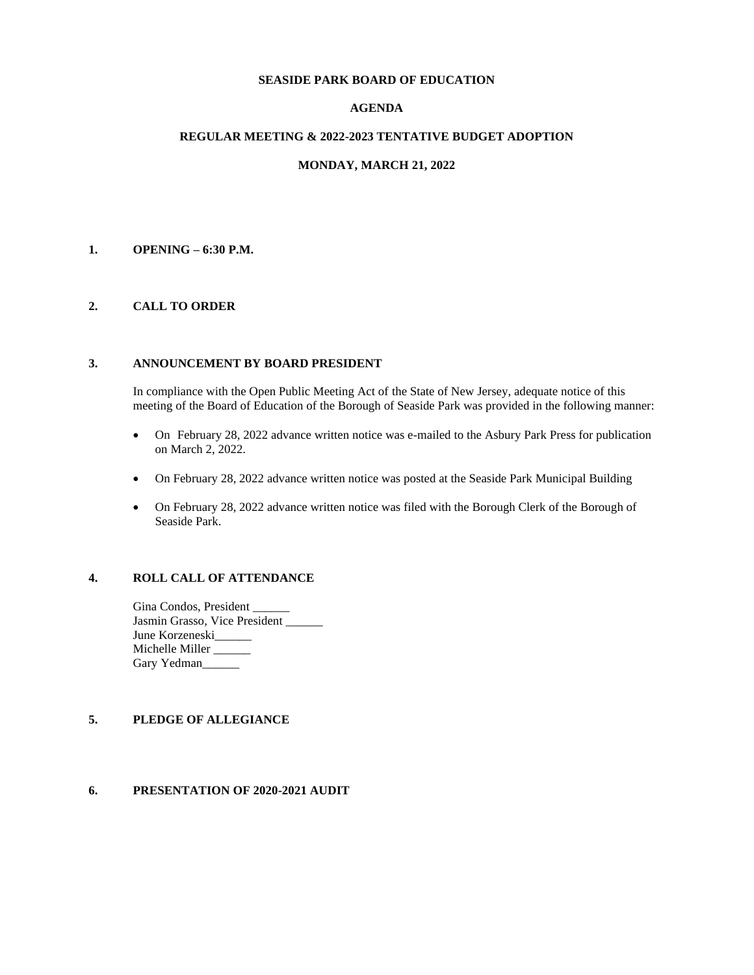#### **SEASIDE PARK BOARD OF EDUCATION**

## **AGENDA**

#### **REGULAR MEETING & 2022-2023 TENTATIVE BUDGET ADOPTION**

### **MONDAY, MARCH 21, 2022**

#### **1. OPENING – 6:30 P.M.**

#### **2. CALL TO ORDER**

#### **3. ANNOUNCEMENT BY BOARD PRESIDENT**

In compliance with the Open Public Meeting Act of the State of New Jersey, adequate notice of this meeting of the Board of Education of the Borough of Seaside Park was provided in the following manner:

- On February 28, 2022 advance written notice was e-mailed to the Asbury Park Press for publication on March 2, 2022.
- On February 28, 2022 advance written notice was posted at the Seaside Park Municipal Building
- On February 28, 2022 advance written notice was filed with the Borough Clerk of the Borough of Seaside Park.

### **4. ROLL CALL OF ATTENDANCE**

Gina Condos, President Jasmin Grasso, Vice President \_\_\_\_\_\_ June Korzeneski\_\_\_\_\_ Michelle Miller \_\_\_\_\_\_\_ Gary Yedman

## **5. PLEDGE OF ALLEGIANCE**

### **6. PRESENTATION OF 2020-2021 AUDIT**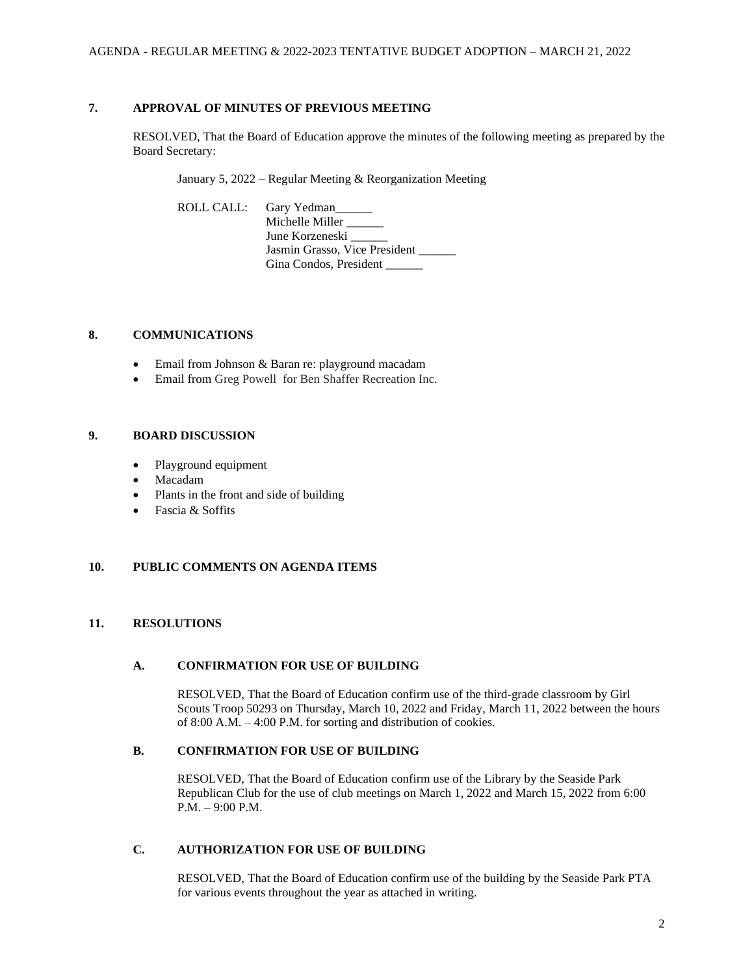## **7. APPROVAL OF MINUTES OF PREVIOUS MEETING**

RESOLVED, That the Board of Education approve the minutes of the following meeting as prepared by the Board Secretary:

January 5, 2022 – Regular Meeting & Reorganization Meeting

ROLL CALL: Gary Yedman Michelle Miller \_\_\_\_\_

June Korzeneski Jasmin Grasso, Vice President Gina Condos, President \_\_\_\_\_

### **8. COMMUNICATIONS**

- Email from Johnson & Baran re: playground macadam
- Email from Greg Powell for Ben Shaffer Recreation Inc.

### **9. BOARD DISCUSSION**

- Playground equipment
- Macadam
- Plants in the front and side of building
- Fascia & Soffits

### **10. PUBLIC COMMENTS ON AGENDA ITEMS**

### **11. RESOLUTIONS**

### **A. CONFIRMATION FOR USE OF BUILDING**

RESOLVED, That the Board of Education confirm use of the third-grade classroom by Girl Scouts Troop 50293 on Thursday, March 10, 2022 and Friday, March 11, 2022 between the hours of 8:00 A.M. – 4:00 P.M. for sorting and distribution of cookies.

### **B. CONFIRMATION FOR USE OF BUILDING**

RESOLVED, That the Board of Education confirm use of the Library by the Seaside Park Republican Club for the use of club meetings on March 1, 2022 and March 15, 2022 from 6:00 P.M. – 9:00 P.M.

# **C. AUTHORIZATION FOR USE OF BUILDING**

RESOLVED, That the Board of Education confirm use of the building by the Seaside Park PTA for various events throughout the year as attached in writing.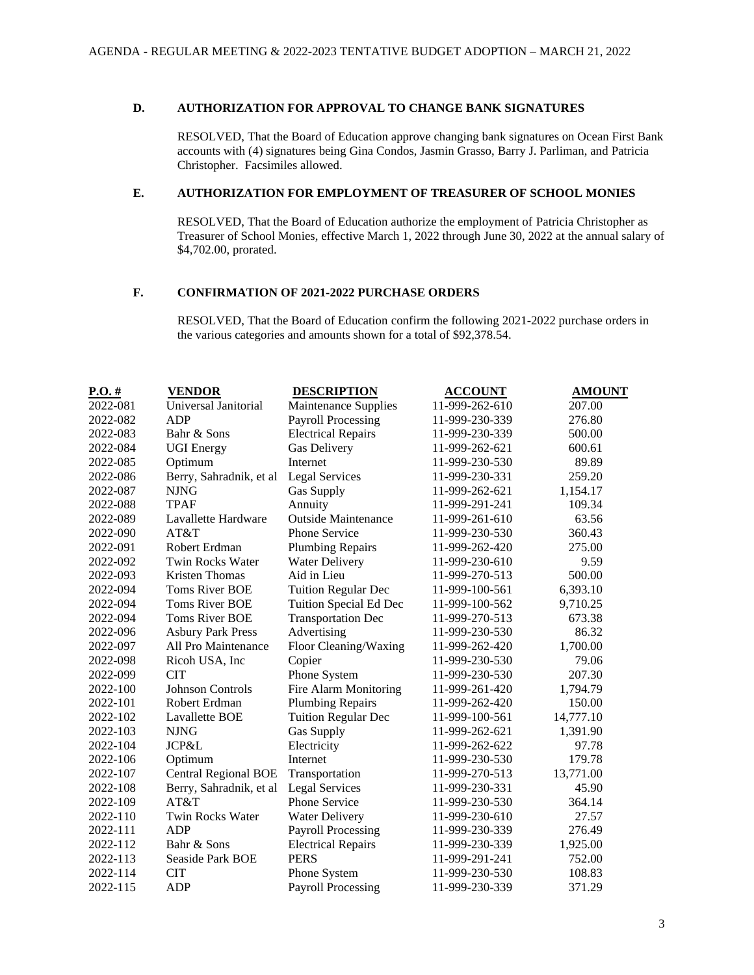## **D. AUTHORIZATION FOR APPROVAL TO CHANGE BANK SIGNATURES**

RESOLVED, That the Board of Education approve changing bank signatures on Ocean First Bank accounts with (4) signatures being Gina Condos, Jasmin Grasso, Barry J. Parliman, and Patricia Christopher. Facsimiles allowed.

## **E. AUTHORIZATION FOR EMPLOYMENT OF TREASURER OF SCHOOL MONIES**

RESOLVED, That the Board of Education authorize the employment of Patricia Christopher as Treasurer of School Monies, effective March 1, 2022 through June 30, 2022 at the annual salary of \$4,702.00, prorated.

# **F. CONFIRMATION OF 2021-2022 PURCHASE ORDERS**

RESOLVED, That the Board of Education confirm the following 2021-2022 purchase orders in the various categories and amounts shown for a total of \$92,378.54.

| $P.O.$ # | <b>VENDOR</b>               | <b>DESCRIPTION</b>         | <b>ACCOUNT</b> | <b>AMOUNT</b> |
|----------|-----------------------------|----------------------------|----------------|---------------|
| 2022-081 | Universal Janitorial        | Maintenance Supplies       | 11-999-262-610 | 207.00        |
| 2022-082 | <b>ADP</b>                  | <b>Payroll Processing</b>  | 11-999-230-339 | 276.80        |
| 2022-083 | Bahr & Sons                 | <b>Electrical Repairs</b>  | 11-999-230-339 | 500.00        |
| 2022-084 | <b>UGI</b> Energy           | Gas Delivery               | 11-999-262-621 | 600.61        |
| 2022-085 | Optimum                     | Internet                   | 11-999-230-530 | 89.89         |
| 2022-086 | Berry, Sahradnik, et al     | <b>Legal Services</b>      | 11-999-230-331 | 259.20        |
| 2022-087 | <b>NJNG</b>                 | <b>Gas Supply</b>          | 11-999-262-621 | 1,154.17      |
| 2022-088 | <b>TPAF</b>                 | Annuity                    | 11-999-291-241 | 109.34        |
| 2022-089 | Lavallette Hardware         | <b>Outside Maintenance</b> | 11-999-261-610 | 63.56         |
| 2022-090 | AT&T                        | Phone Service              | 11-999-230-530 | 360.43        |
| 2022-091 | Robert Erdman               | <b>Plumbing Repairs</b>    | 11-999-262-420 | 275.00        |
| 2022-092 | <b>Twin Rocks Water</b>     | <b>Water Delivery</b>      | 11-999-230-610 | 9.59          |
| 2022-093 | <b>Kristen Thomas</b>       | Aid in Lieu                | 11-999-270-513 | 500.00        |
| 2022-094 | <b>Toms River BOE</b>       | <b>Tuition Regular Dec</b> | 11-999-100-561 | 6,393.10      |
| 2022-094 | <b>Toms River BOE</b>       | Tuition Special Ed Dec     | 11-999-100-562 | 9,710.25      |
| 2022-094 | <b>Toms River BOE</b>       | <b>Transportation Dec</b>  | 11-999-270-513 | 673.38        |
| 2022-096 | <b>Asbury Park Press</b>    | Advertising                | 11-999-230-530 | 86.32         |
| 2022-097 | All Pro Maintenance         | Floor Cleaning/Waxing      | 11-999-262-420 | 1,700.00      |
| 2022-098 | Ricoh USA, Inc              | Copier                     | 11-999-230-530 | 79.06         |
| 2022-099 | <b>CIT</b>                  | Phone System               | 11-999-230-530 | 207.30        |
| 2022-100 | <b>Johnson Controls</b>     | Fire Alarm Monitoring      | 11-999-261-420 | 1,794.79      |
| 2022-101 | Robert Erdman               | <b>Plumbing Repairs</b>    | 11-999-262-420 | 150.00        |
| 2022-102 | Lavallette BOE              | <b>Tuition Regular Dec</b> | 11-999-100-561 | 14,777.10     |
| 2022-103 | <b>NJNG</b>                 | Gas Supply                 | 11-999-262-621 | 1,391.90      |
| 2022-104 | JCP&L                       | Electricity                | 11-999-262-622 | 97.78         |
| 2022-106 | Optimum                     | Internet                   | 11-999-230-530 | 179.78        |
| 2022-107 | <b>Central Regional BOE</b> | Transportation             | 11-999-270-513 | 13,771.00     |
| 2022-108 | Berry, Sahradnik, et al     | <b>Legal Services</b>      | 11-999-230-331 | 45.90         |
| 2022-109 | AT&T                        | <b>Phone Service</b>       | 11-999-230-530 | 364.14        |
| 2022-110 | Twin Rocks Water            | <b>Water Delivery</b>      | 11-999-230-610 | 27.57         |
| 2022-111 | ADP                         | <b>Payroll Processing</b>  | 11-999-230-339 | 276.49        |
| 2022-112 | Bahr & Sons                 | <b>Electrical Repairs</b>  | 11-999-230-339 | 1,925.00      |
| 2022-113 | Seaside Park BOE            | <b>PERS</b>                | 11-999-291-241 | 752.00        |
| 2022-114 | <b>CIT</b>                  | Phone System               | 11-999-230-530 | 108.83        |
| 2022-115 | <b>ADP</b>                  | <b>Payroll Processing</b>  | 11-999-230-339 | 371.29        |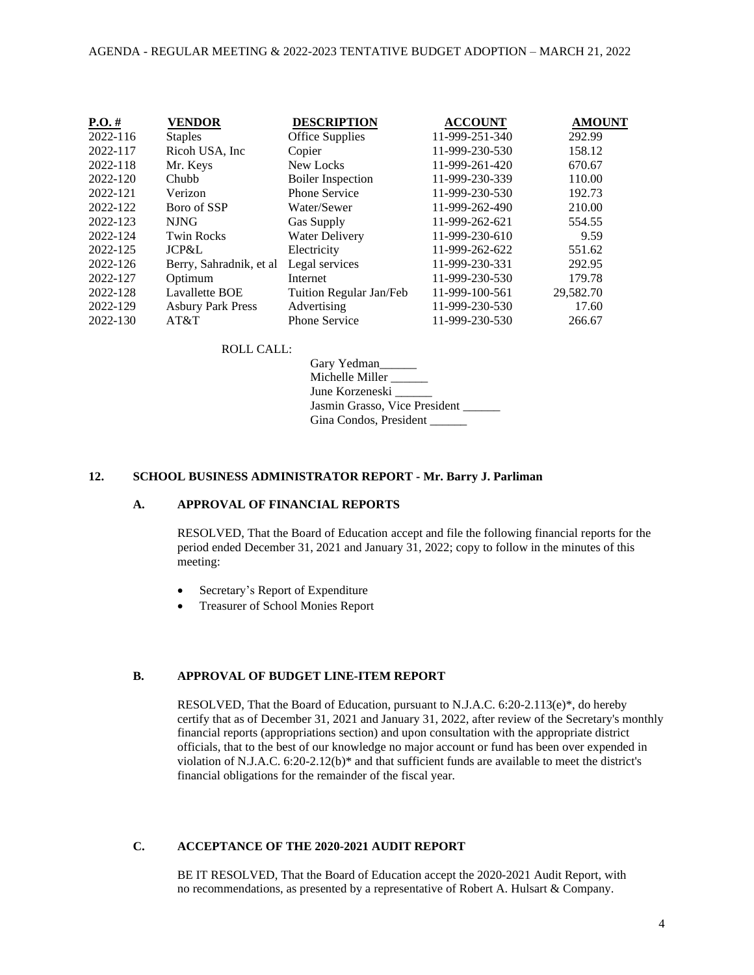| $P.O. \#$<br><b>VENDOR</b>           | <b>DESCRIPTION</b>       | <b>ACCOUNT</b> | <b>AMOUNT</b> |
|--------------------------------------|--------------------------|----------------|---------------|
| 2022-116<br><b>Staples</b>           | Office Supplies          | 11-999-251-340 | 292.99        |
| 2022-117<br>Ricoh USA, Inc.          | Copier                   | 11-999-230-530 | 158.12        |
| 2022-118<br>Mr. Keys                 | New Locks                | 11-999-261-420 | 670.67        |
| 2022-120<br>Chubb                    | <b>Boiler Inspection</b> | 11-999-230-339 | 110.00        |
| 2022-121<br>Verizon                  | <b>Phone Service</b>     | 11-999-230-530 | 192.73        |
| 2022-122<br>Boro of SSP              | Water/Sewer              | 11-999-262-490 | 210.00        |
| 2022-123<br><b>NJNG</b>              | Gas Supply               | 11-999-262-621 | 554.55        |
| 2022-124<br><b>Twin Rocks</b>        | <b>Water Delivery</b>    | 11-999-230-610 | 9.59          |
| JCP&L<br>2022-125                    | Electricity              | 11-999-262-622 | 551.62        |
| 2022-126<br>Berry, Sahradnik, et al  | Legal services           | 11-999-230-331 | 292.95        |
| 2022-127<br>Optimum                  | Internet                 | 11-999-230-530 | 179.78        |
| 2022-128<br><b>Lavallette BOE</b>    | Tuition Regular Jan/Feb  | 11-999-100-561 | 29,582.70     |
| 2022-129<br><b>Asbury Park Press</b> | Advertising              | 11-999-230-530 | 17.60         |
| 2022-130<br>AT&T                     | <b>Phone Service</b>     | 11-999-230-530 | 266.67        |

### ROLL CALL:

Gary Yedman\_\_\_\_\_\_ Michelle Miller \_\_\_\_\_\_ June Korzeneski \_\_\_\_\_\_ Jasmin Grasso, Vice President Gina Condos, President \_\_\_\_\_

### **12. SCHOOL BUSINESS ADMINISTRATOR REPORT - Mr. Barry J. Parliman**

## **A. APPROVAL OF FINANCIAL REPORTS**

RESOLVED, That the Board of Education accept and file the following financial reports for the period ended December 31, 2021 and January 31, 2022; copy to follow in the minutes of this meeting:

- Secretary's Report of Expenditure
- Treasurer of School Monies Report

### **B. APPROVAL OF BUDGET LINE-ITEM REPORT**

RESOLVED, That the Board of Education, pursuant to N.J.A.C. 6:20-2.113(e)\*, do hereby certify that as of December 31, 2021 and January 31, 2022, after review of the Secretary's monthly financial reports (appropriations section) and upon consultation with the appropriate district officials, that to the best of our knowledge no major account or fund has been over expended in violation of N.J.A.C. 6:20-2.12(b)\* and that sufficient funds are available to meet the district's financial obligations for the remainder of the fiscal year.

## **C. ACCEPTANCE OF THE 2020-2021 AUDIT REPORT**

BE IT RESOLVED, That the Board of Education accept the 2020-2021 Audit Report, with no recommendations, as presented by a representative of Robert A. Hulsart & Company.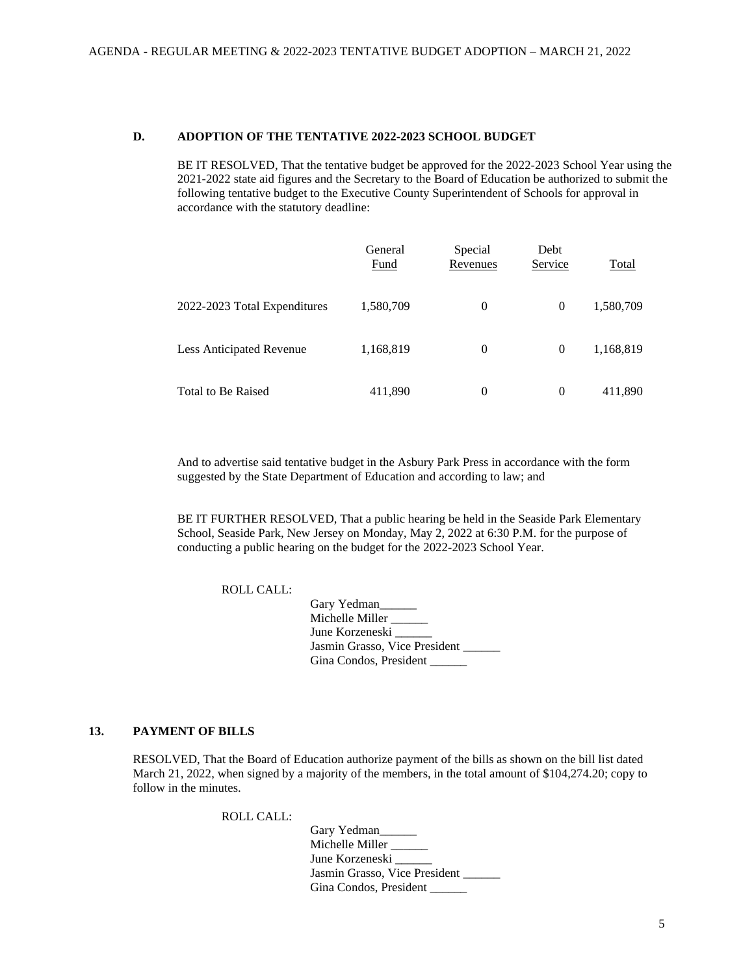### **D. ADOPTION OF THE TENTATIVE 2022-2023 SCHOOL BUDGET**

BE IT RESOLVED, That the tentative budget be approved for the 2022-2023 School Year using the 2021-2022 state aid figures and the Secretary to the Board of Education be authorized to submit the following tentative budget to the Executive County Superintendent of Schools for approval in accordance with the statutory deadline:

|                              | General<br>Fund | Special<br>Revenues | Debt<br>Service | Total     |
|------------------------------|-----------------|---------------------|-----------------|-----------|
| 2022-2023 Total Expenditures | 1,580,709       | $\Omega$            | $\theta$        | 1,580,709 |
| Less Anticipated Revenue     | 1,168,819       | $\theta$            | $\theta$        | 1,168,819 |
| Total to Be Raised           | 411,890         | $\Omega$            | $\theta$        | 411,890   |

And to advertise said tentative budget in the Asbury Park Press in accordance with the form suggested by the State Department of Education and according to law; and

BE IT FURTHER RESOLVED, That a public hearing be held in the Seaside Park Elementary School, Seaside Park, New Jersey on Monday, May 2, 2022 at 6:30 P.M. for the purpose of conducting a public hearing on the budget for the 2022-2023 School Year.

ROLL CALL:

| Gary Yedman                   |
|-------------------------------|
| Michelle Miller               |
| June Korzeneski               |
| Jasmin Grasso, Vice President |
| Gina Condos, President        |

## **13. PAYMENT OF BILLS**

RESOLVED, That the Board of Education authorize payment of the bills as shown on the bill list dated March 21, 2022, when signed by a majority of the members, in the total amount of \$104,274.20; copy to follow in the minutes.

ROLL CALL:

Gary Yedman\_\_\_\_ Michelle Miller \_\_\_\_\_\_ June Korzeneski Jasmin Grasso, Vice President Gina Condos, President \_\_\_\_\_\_